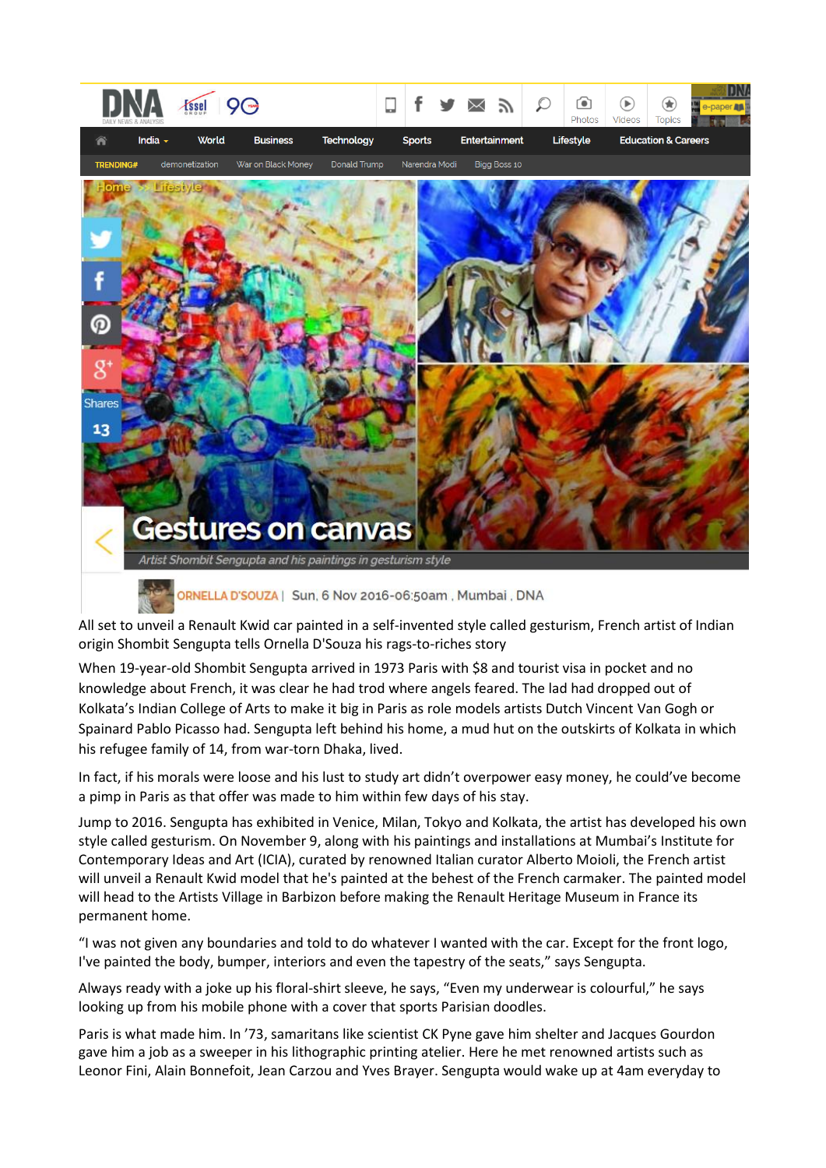

ORNELLA D'SOUZA | Sun, 6 Nov 2016-06:50am, Mumbai, DNA

All set to unveil a Renault Kwid car painted in a self-invented style called gesturism, French artist of Indian origin Shombit Sengupta tells Ornella D'Souza his rags-to-riches story

When 19-year-old Shombit Sengupta arrived in 1973 Paris with \$8 and tourist visa in pocket and no knowledge about French, it was clear he had trod where angels feared. The lad had dropped out of Kolkata's Indian College of Arts to make it big in Paris as role models artists Dutch Vincent Van Gogh or Spainard Pablo Picasso had. Sengupta left behind his home, a mud hut on the outskirts of Kolkata in which his refugee family of 14, from war-torn Dhaka, lived.

In fact, if his morals were loose and his lust to study art didn't overpower easy money, he could've become a pimp in Paris as that offer was made to him within few days of his stay.

Jump to 2016. Sengupta has exhibited in Venice, Milan, Tokyo and Kolkata, the artist has developed his own style called gesturism. On November 9, along with his paintings and installations at Mumbai's Institute for Contemporary Ideas and Art (ICIA), curated by renowned Italian curator Alberto Moioli, the French artist will unveil a Renault Kwid model that he's painted at the behest of the French carmaker. The painted model will head to the Artists Village in Barbizon before making the Renault Heritage Museum in France its permanent home.

"I was not given any boundaries and told to do whatever I wanted with the car. Except for the front logo, I've painted the body, bumper, interiors and even the tapestry of the seats," says Sengupta.

Always ready with a joke up his floral-shirt sleeve, he says, "Even my underwear is colourful," he says looking up from his mobile phone with a cover that sports Parisian doodles.

Paris is what made him. In '73, samaritans like scientist CK Pyne gave him shelter and Jacques Gourdon gave him a job as a sweeper in his lithographic printing atelier. Here he met renowned artists such as Leonor Fini, Alain Bonnefoit, Jean Carzou and Yves Brayer. Sengupta would wake up at 4am everyday to